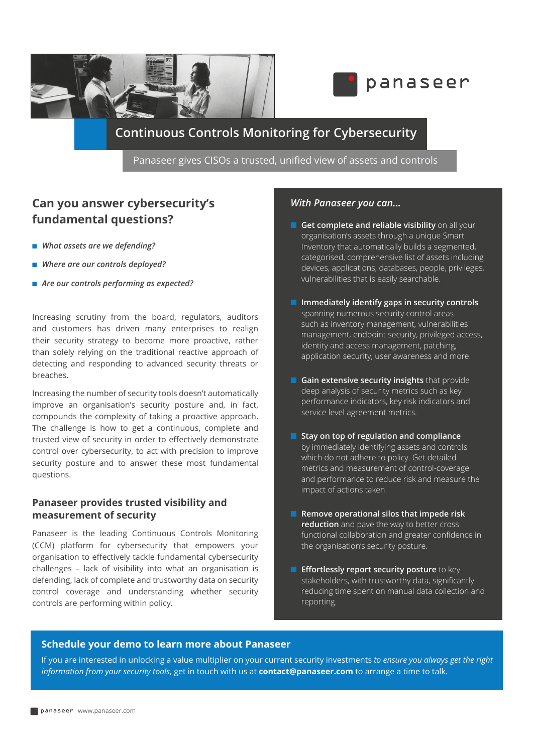



## panaseer

### **Continuous Controls Monitoring for Cybersecurity**

Panaseer gives CISOs a trusted, unified view of assets and controls

## **Can you answer cybersecurity's fundamental questions?**

- What assets are we defending?
- Where are our controls deployed?
- *Are our controls performing as expected?*

Increasing scrutiny from the board, regulators, auditors and customers has driven many enterprises to realign their security strategy to become more proactive, rather than solely relying on the traditional reactive approach of detecting and responding to advanced security threats or breaches.

Increasing the number of security tools doesn't automatically improve an organisation's security posture and, in fact, compounds the complexity of taking a proactive approach. The challenge is how to get a continuous, complete and trusted view of security in order to effectively demonstrate control over cybersecurity, to act with precision to improve security posture and to answer these most fundamental questions.

#### **Panaseer provides trusted visibility and measurement of security**

Panaseer is the leading Continuous Controls Monitoring (CCM) platform for cybersecurity that empowers your organisation to effectively tackle fundamental cybersecurity challenges – lack of visibility into what an organisation is defending, lack of complete and trustworthy data on security control coverage and understanding whether security controls are performing within policy.

#### *With Panaseer you can...*

- **E** Get complete and reliable visibility on all your organisation's assets through a unique Smart Inventory that automatically builds a segmented, categorised, comprehensive list of assets including devices, applications, databases, people, privileges, vulnerabilities that is easily searchable.
- **Immediately identify gaps in security controls** spanning numerous security control areas such as inventory management, vulnerabilities management, endpoint security, privileged access, identity and access management, patching, application security, user awareness and more.
- **Gain extensive security insights** that provide deep analysis of security metrics such as key performance indicators, key risk indicators and service level agreement metrics.
- Stay on top of regulation and compliance by immediately identifying assets and controls which do not adhere to policy. Get detailed metrics and measurement of control-coverage and performance to reduce risk and measure the impact of actions taken.
- **Remove operational silos that impede risk reduction** and pave the way to better cross functional collaboration and greater confidence in the organisation's security posture.
- **Effortlessly report security posture** to key stakeholders, with trustworthy data, significantly reducing time spent on manual data collection and reporting.

#### **Schedule your demo to learn more about Panaseer**

If you are interested in unlocking a value multiplier on your current security investments *to ensure you always get the right information from your security tools*, get in touch with us at **contact@panaseer.com** to arrange a time to talk.